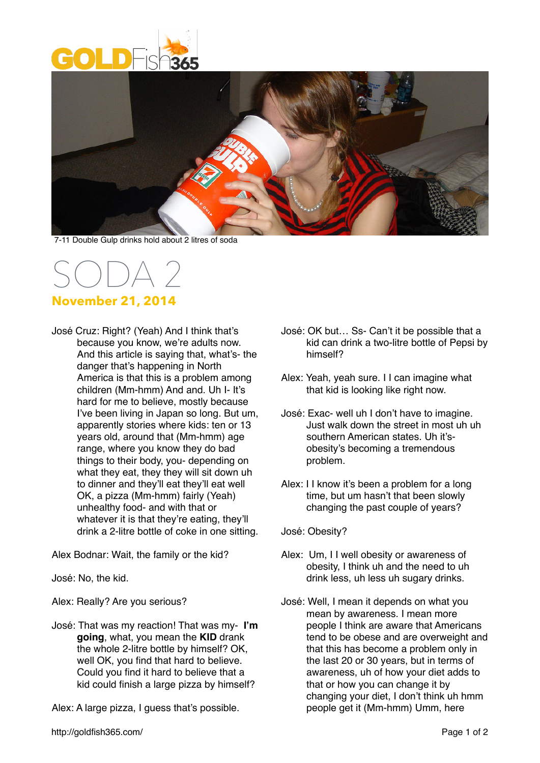



7-11 Double Gulp drinks hold about 2 litres of soda

## SODA 2 **November 21, 2014**

José Cruz: Right? (Yeah) And I think that's because you know, we're adults now. And this article is saying that, what's- the danger that's happening in North America is that this is a problem among children (Mm-hmm) And and. Uh I- It's hard for me to believe, mostly because I've been living in Japan so long. But um, apparently stories where kids: ten or 13 years old, around that (Mm-hmm) age range, where you know they do bad things to their body, you- depending on what they eat, they they will sit down uh to dinner and they'll eat they'll eat well OK, a pizza (Mm-hmm) fairly (Yeah) unhealthy food- and with that or whatever it is that they're eating, they'll drink a 2-litre bottle of coke in one sitting.

Alex Bodnar: Wait, the family or the kid?

José: No, the kid.

Alex: Really? Are you serious?

José: That was my reaction! That was my- **I'm going**, what, you mean the **KID** drank the whole 2-litre bottle by himself? OK, well OK, you find that hard to believe. Could you find it hard to believe that a kid could finish a large pizza by himself?

Alex: A large pizza, I guess that's possible.

- José: OK but… Ss- Can't it be possible that a kid can drink a two-litre bottle of Pepsi by himself?
- Alex: Yeah, yeah sure. I I can imagine what that kid is looking like right now.
- José: Exac- well uh I don't have to imagine. Just walk down the street in most uh uh southern American states. Uh it'sobesity's becoming a tremendous problem.
- Alex: I I know it's been a problem for a long time, but um hasn't that been slowly changing the past couple of years?

José: Obesity?

- Alex: Um, I I well obesity or awareness of obesity, I think uh and the need to uh drink less, uh less uh sugary drinks.
- José: Well, I mean it depends on what you mean by awareness. I mean more people I think are aware that Americans tend to be obese and are overweight and that this has become a problem only in the last 20 or 30 years, but in terms of awareness, uh of how your diet adds to that or how you can change it by changing your diet, I don't think uh hmm people get it (Mm-hmm) Umm, here